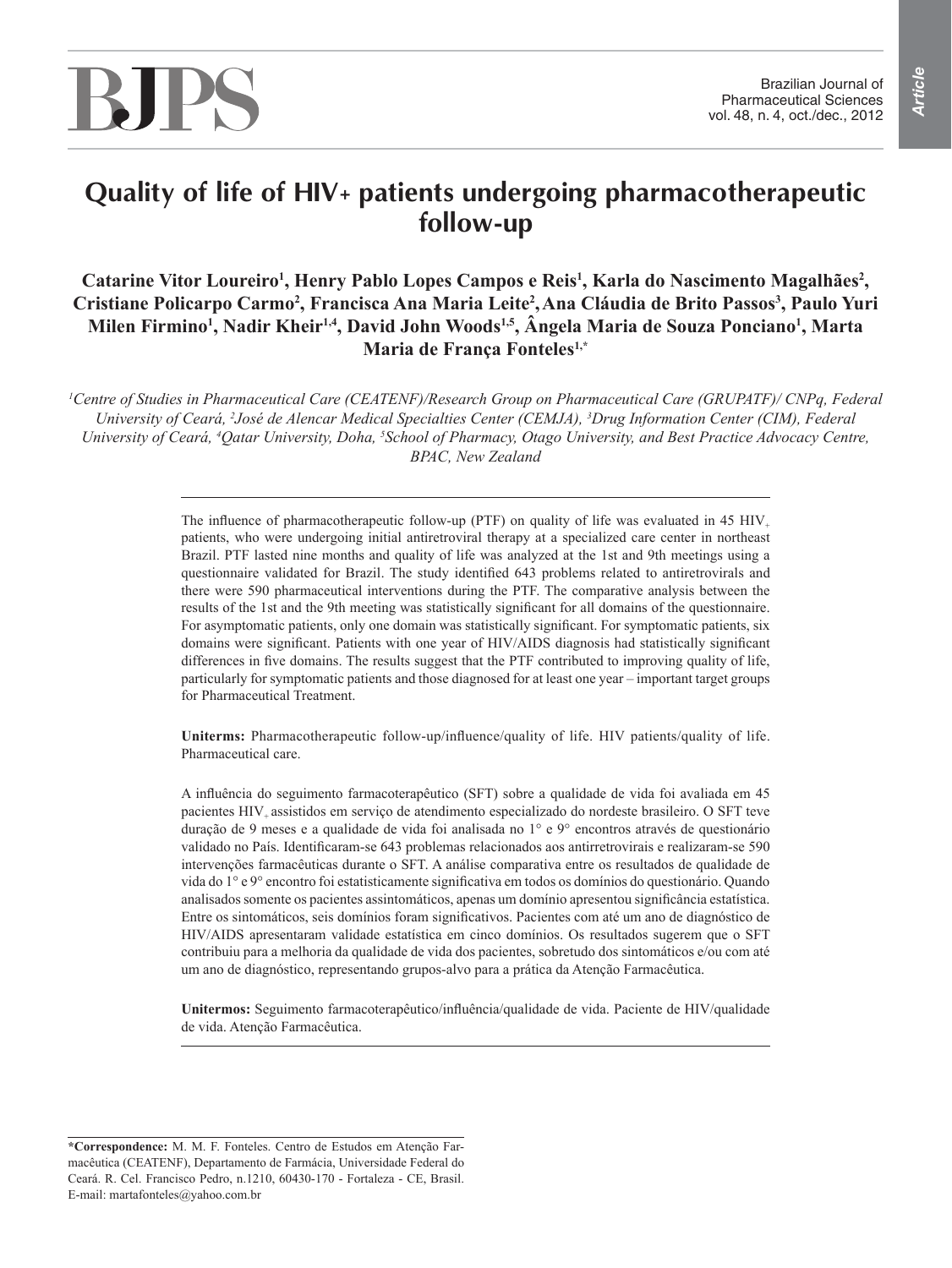*Article*

# **Quality of life of HIV+ patients undergoing pharmacotherapeutic follow-up**

Catarine Vitor Loureiro<sup>1</sup>, Henry Pablo Lopes Campos e Reis<sup>1</sup>, Karla do Nascimento Magalhães<sup>2</sup>, **Cristiane Policarpo Carmo<sup>2</sup> , Francisca Ana Maria Leite<sup>2</sup> ,Ana Cláudia de Brito Passos<sup>3</sup> , Paulo Yuri Milen Firmino<sup>1</sup> , Nadir Kheir1,4, David John Woods1,5, Ângela Maria de Souza Ponciano<sup>1</sup> , Marta Maria de França Fonteles1,\***

*<sup>1</sup>Centre of Studies in Pharmaceutical Care (CEATENF)/Research Group on Pharmaceutical Care (GRUPATF)/ CNPq, Federal University of Ceará, <sup>2</sup>José de Alencar Medical Specialties Center (CEMJA), <sup>3</sup>Drug Information Center (CIM), Federal University of Ceará, <sup>4</sup>Qatar University, Doha, <sup>5</sup>School of Pharmacy, Otago University, and Best Practice Advocacy Centre, BPAC, New Zealand*

> The influence of pharmacotherapeutic follow-up (PTF) on quality of life was evaluated in 45  $HIV<sub>+</sub>$ patients, who were undergoing initial antiretroviral therapy at a specialized care center in northeast Brazil. PTF lasted nine months and quality of life was analyzed at the 1st and 9th meetings using a questionnaire validated for Brazil. The study identified 643 problems related to antiretrovirals and there were 590 pharmaceutical interventions during the PTF. The comparative analysis between the results of the 1st and the 9th meeting was statistically significant for all domains of the questionnaire. For asymptomatic patients, only one domain was statistically significant. For symptomatic patients, six domains were significant. Patients with one year of HIV/AIDS diagnosis had statistically significant differences in five domains. The results suggest that the PTF contributed to improving quality of life, particularly for symptomatic patients and those diagnosed for at least one year – important target groups for Pharmaceutical Treatment.

> **Uniterms:** Pharmacotherapeutic follow-up/influence/quality of life. HIV patients/quality of life. Pharmaceutical care.

> A influência do seguimento farmacoterapêutico (SFT) sobre a qualidade de vida foi avaliada em 45 pacientes HIV<sub>+</sub> assistidos em serviço de atendimento especializado do nordeste brasileiro. O SFT teve duração de 9 meses e a qualidade de vida foi analisada no 1° e 9° encontros através de questionário validado no País. Identificaram-se 643 problemas relacionados aos antirretrovirais e realizaram-se 590 intervenções farmacêuticas durante o SFT. A análise comparativa entre os resultados de qualidade de vida do 1° e 9° encontro foi estatisticamente significativa em todos os domínios do questionário. Quando analisados somente os pacientes assintomáticos, apenas um domínio apresentou significância estatística. Entre os sintomáticos, seis domínios foram significativos. Pacientes com até um ano de diagnóstico de HIV/AIDS apresentaram validade estatística em cinco domínios. Os resultados sugerem que o SFT contribuiu para a melhoria da qualidade de vida dos pacientes, sobretudo dos sintomáticos e/ou com até um ano de diagnóstico, representando grupos-alvo para a prática da Atenção Farmacêutica.

> **Unitermos:** Seguimento farmacoterapêutico/influência/qualidade de vida. Paciente de HIV/qualidade de vida. Atenção Farmacêutica.

**<sup>\*</sup>Correspondence:** M. M. F. Fonteles. Centro de Estudos em Atenção Farmacêutica (CEATENF), Departamento de Farmácia, Universidade Federal do Ceará. R. Cel. Francisco Pedro, n.1210, 60430-170 - Fortaleza - CE, Brasil. E-mail: martafonteles@yahoo.com.br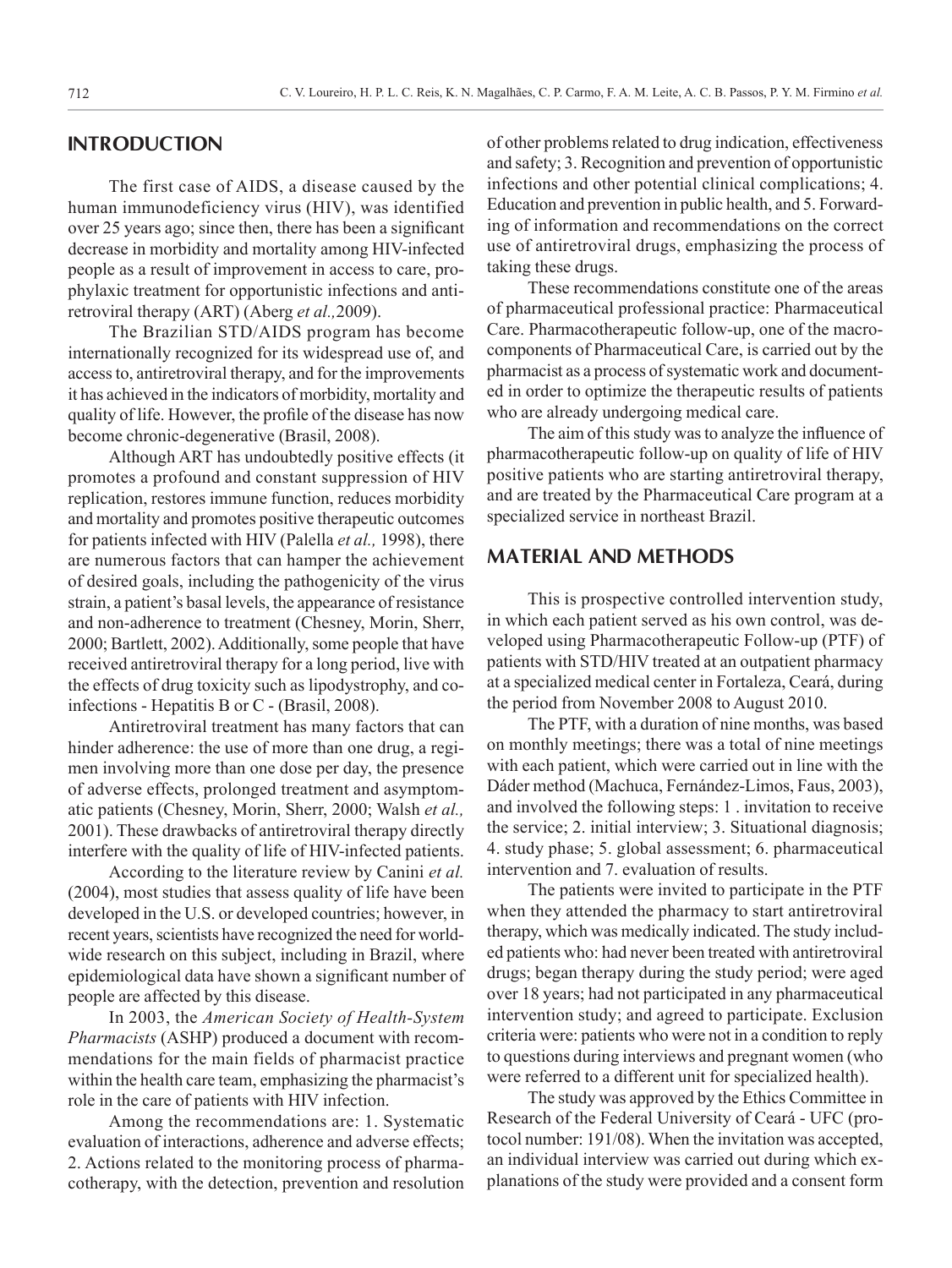## **INTRODUCTION**

The first case of AIDS, a disease caused by the human immunodeficiency virus (HIV), was identified over 25 years ago; since then, there has been a significant decrease in morbidity and mortality among HIV-infected people as a result of improvement in access to care, prophylaxic treatment for opportunistic infections and antiretroviral therapy (ART) (Aberg *et al.,*2009).

The Brazilian STD/AIDS program has become internationally recognized for its widespread use of, and access to, antiretroviral therapy, and for the improvements it has achieved in the indicators of morbidity, mortality and quality of life. However, the profile of the disease has now become chronic-degenerative (Brasil, 2008).

Although ART has undoubtedly positive effects (it promotes a profound and constant suppression of HIV replication, restores immune function, reduces morbidity and mortality and promotes positive therapeutic outcomes for patients infected with HIV (Palella *et al.,* 1998), there are numerous factors that can hamper the achievement of desired goals, including the pathogenicity of the virus strain, a patient's basal levels, the appearance of resistance and non-adherence to treatment (Chesney, Morin, Sherr, 2000; Bartlett, 2002). Additionally, some people that have received antiretroviral therapy for a long period, live with the effects of drug toxicity such as lipodystrophy, and coinfections - Hepatitis B or C - (Brasil, 2008).

Antiretroviral treatment has many factors that can hinder adherence: the use of more than one drug, a regimen involving more than one dose per day, the presence of adverse effects, prolonged treatment and asymptomatic patients (Chesney, Morin, Sherr, 2000; Walsh *et al.,* 2001). These drawbacks of antiretroviral therapy directly interfere with the quality of life of HIV-infected patients.

According to the literature review by Canini *et al.* (2004), most studies that assess quality of life have been developed in the U.S. or developed countries; however, in recent years, scientists have recognized the need for worldwide research on this subject, including in Brazil, where epidemiological data have shown a significant number of people are affected by this disease.

In 2003, the *American Society of Health-System Pharmacists* (ASHP) produced a document with recommendations for the main fields of pharmacist practice within the health care team, emphasizing the pharmacist's role in the care of patients with HIV infection.

Among the recommendations are: 1. Systematic evaluation of interactions, adherence and adverse effects; 2. Actions related to the monitoring process of pharmacotherapy, with the detection, prevention and resolution of other problems related to drug indication, effectiveness and safety; 3. Recognition and prevention of opportunistic infections and other potential clinical complications; 4. Education and prevention in public health, and 5. Forwarding of information and recommendations on the correct use of antiretroviral drugs, emphasizing the process of taking these drugs.

These recommendations constitute one of the areas of pharmaceutical professional practice: Pharmaceutical Care. Pharmacotherapeutic follow-up, one of the macrocomponents of Pharmaceutical Care, is carried out by the pharmacist as a process of systematic work and documented in order to optimize the therapeutic results of patients who are already undergoing medical care.

The aim of this study was to analyze the influence of pharmacotherapeutic follow-up on quality of life of HIV positive patients who are starting antiretroviral therapy, and are treated by the Pharmaceutical Care program at a specialized service in northeast Brazil.

## **MATERIAL AND METHODS**

This is prospective controlled intervention study, in which each patient served as his own control, was developed using Pharmacotherapeutic Follow-up (PTF) of patients with STD/HIV treated at an outpatient pharmacy at a specialized medical center in Fortaleza, Ceará, during the period from November 2008 to August 2010.

The PTF, with a duration of nine months, was based on monthly meetings; there was a total of nine meetings with each patient, which were carried out in line with the Dáder method (Machuca, Fernández-Limos, Faus, 2003), and involved the following steps: 1 . invitation to receive the service; 2. initial interview; 3. Situational diagnosis; 4. study phase; 5. global assessment; 6. pharmaceutical intervention and 7. evaluation of results.

The patients were invited to participate in the PTF when they attended the pharmacy to start antiretroviral therapy, which was medically indicated. The study included patients who: had never been treated with antiretroviral drugs; began therapy during the study period; were aged over 18 years; had not participated in any pharmaceutical intervention study; and agreed to participate. Exclusion criteria were: patients who were not in a condition to reply to questions during interviews and pregnant women (who were referred to a different unit for specialized health).

The study was approved by the Ethics Committee in Research of the Federal University of Ceará - UFC (protocol number: 191/08). When the invitation was accepted, an individual interview was carried out during which explanations of the study were provided and a consent form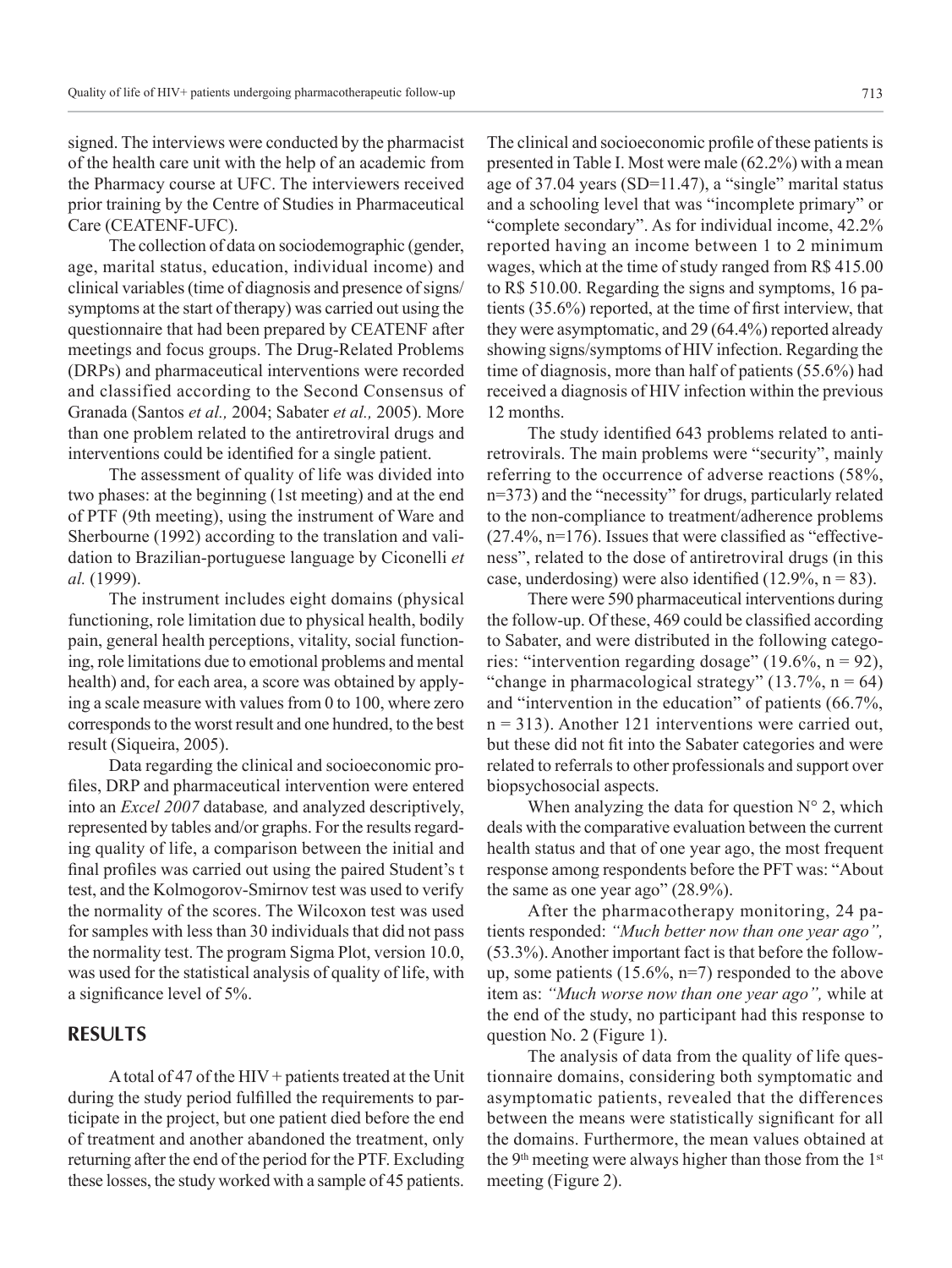signed. The interviews were conducted by the pharmacist of the health care unit with the help of an academic from the Pharmacy course at UFC. The interviewers received prior training by the Centre of Studies in Pharmaceutical Care (CEATENF-UFC).

The collection of data on sociodemographic (gender, age, marital status, education, individual income) and clinical variables (time of diagnosis and presence of signs/ symptoms at the start of therapy) was carried out using the questionnaire that had been prepared by CEATENF after meetings and focus groups. The Drug-Related Problems (DRPs) and pharmaceutical interventions were recorded and classified according to the Second Consensus of Granada (Santos *et al.,* 2004; Sabater *et al.,* 2005). More than one problem related to the antiretroviral drugs and interventions could be identified for a single patient.

The assessment of quality of life was divided into two phases: at the beginning (1st meeting) and at the end of PTF (9th meeting), using the instrument of Ware and Sherbourne (1992) according to the translation and validation to Brazilian-portuguese language by Ciconelli *et al.* (1999).

The instrument includes eight domains (physical functioning, role limitation due to physical health, bodily pain, general health perceptions, vitality, social functioning, role limitations due to emotional problems and mental health) and, for each area, a score was obtained by applying a scale measure with values from 0 to 100, where zero corresponds to the worst result and one hundred, to the best result (Siqueira, 2005).

Data regarding the clinical and socioeconomic profiles, DRP and pharmaceutical intervention were entered into an *Excel 2007* database*,* and analyzed descriptively, represented by tables and/or graphs. For the results regarding quality of life, a comparison between the initial and final profiles was carried out using the paired Student's t test, and the Kolmogorov-Smirnov test was used to verify the normality of the scores. The Wilcoxon test was used for samples with less than 30 individuals that did not pass the normality test. The program Sigma Plot, version 10.0, was used for the statistical analysis of quality of life, with a significance level of 5%.

#### **RESULTS**

A total of 47 of the HIV + patients treated at the Unit during the study period fulfilled the requirements to participate in the project, but one patient died before the end of treatment and another abandoned the treatment, only returning after the end of the period for the PTF. Excluding these losses, the study worked with a sample of 45 patients.

The clinical and socioeconomic profile of these patients is presented in Table I. Most were male (62.2%) with a mean age of 37.04 years (SD=11.47), a "single" marital status and a schooling level that was "incomplete primary" or "complete secondary". As for individual income, 42.2% reported having an income between 1 to 2 minimum wages, which at the time of study ranged from R\$ 415.00 to R\$ 510.00. Regarding the signs and symptoms, 16 patients (35.6%) reported, at the time of first interview, that they were asymptomatic, and 29 (64.4%) reported already showing signs/symptoms of HIV infection. Regarding the time of diagnosis, more than half of patients (55.6%) had received a diagnosis of HIV infection within the previous 12 months.

The study identified 643 problems related to antiretrovirals. The main problems were "security", mainly referring to the occurrence of adverse reactions (58%, n=373) and the "necessity" for drugs, particularly related to the non-compliance to treatment/adherence problems  $(27.4\%, n=176)$ . Issues that were classified as "effectiveness", related to the dose of antiretroviral drugs (in this case, underdosing) were also identified  $(12.9\%, n = 83)$ .

There were 590 pharmaceutical interventions during the follow-up. Of these, 469 could be classified according to Sabater, and were distributed in the following categories: "intervention regarding dosage" (19.6%,  $n = 92$ ), "change in pharmacological strategy"  $(13.7\%, n = 64)$ and "intervention in the education" of patients (66.7%,  $n = 313$ ). Another 121 interventions were carried out, but these did not fit into the Sabater categories and were related to referrals to other professionals and support over biopsychosocial aspects.

When analyzing the data for question  $N^{\circ}$  2, which deals with the comparative evaluation between the current health status and that of one year ago, the most frequent response among respondents before the PFT was: "About the same as one year ago" (28.9%).

After the pharmacotherapy monitoring, 24 patients responded: *"Much better now than one year ago",* (53.3%). Another important fact is that before the followup, some patients  $(15.6\%, n=7)$  responded to the above item as: *"Much worse now than one year ago",* while at the end of the study, no participant had this response to question No. 2 (Figure 1).

The analysis of data from the quality of life questionnaire domains, considering both symptomatic and asymptomatic patients, revealed that the differences between the means were statistically significant for all the domains. Furthermore, the mean values obtained at the 9<sup>th</sup> meeting were always higher than those from the 1<sup>st</sup> meeting (Figure 2).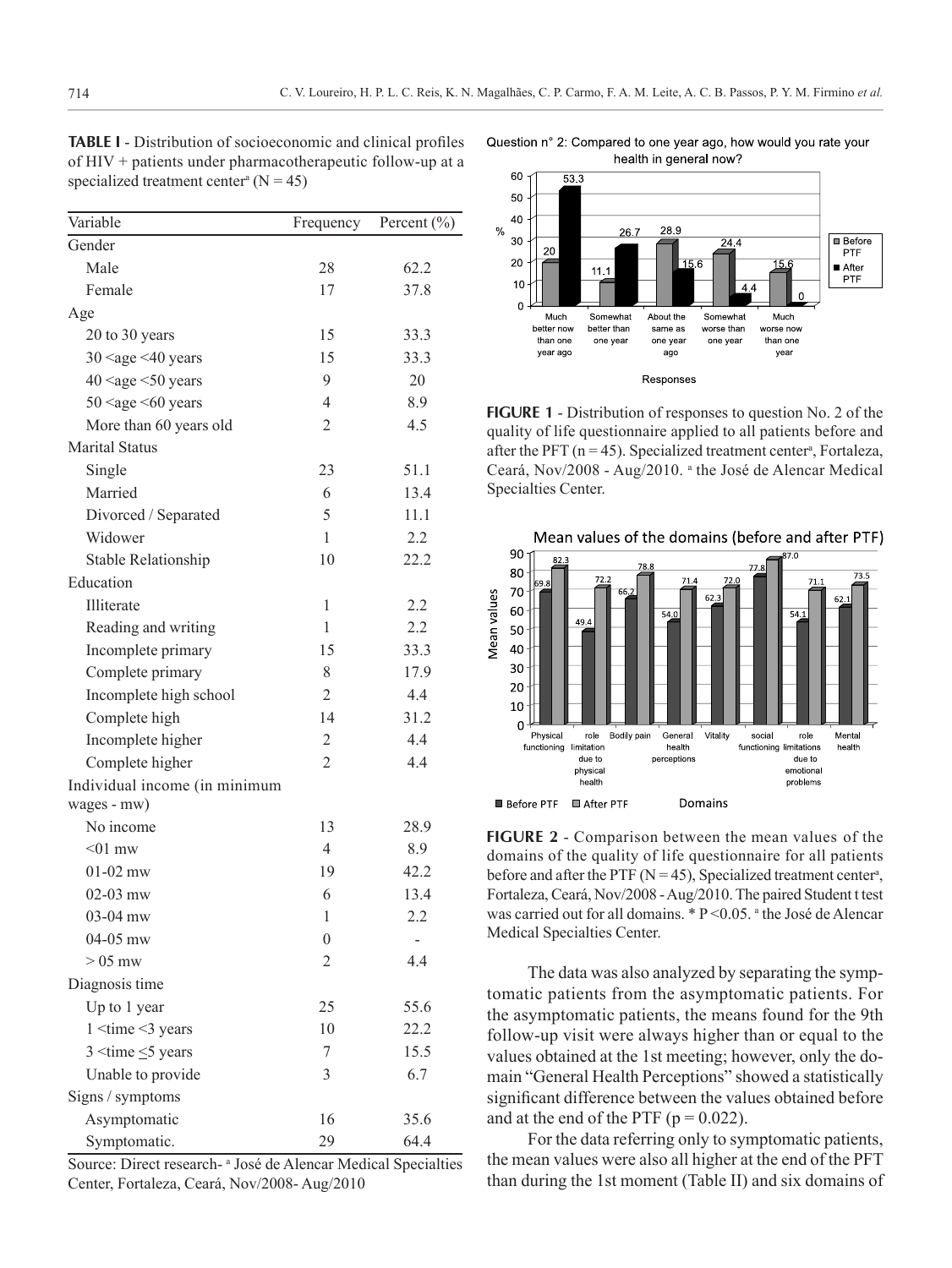**TABLE I** - Distribution of socioeconomic and clinical profiles of HIV + patients under pharmacotherapeutic follow-up at a specialized treatment center<sup>a</sup> ( $N = 45$ )

| Variable                      | Frequency        | Percent (%) |
|-------------------------------|------------------|-------------|
| Gender                        |                  |             |
| Male                          | 28               | 62.2        |
| Female                        | 17               | 37.8        |
| Age                           |                  |             |
| 20 to 30 years                | 15               | 33.3        |
| $30 <$ age $<$ 40 years       | 15               | 33.3        |
| $40 <$ age $<$ 50 years       | 9                | 20          |
| $50 <$ age $< 60$ years       | $\overline{4}$   | 8.9         |
| More than 60 years old        | 2                | 4.5         |
| <b>Marital Status</b>         |                  |             |
| Single                        | 23               | 51.1        |
| Married                       | 6                | 13.4        |
| Divorced / Separated          | 5                | 11.1        |
| Widower                       | 1                | 2.2         |
| Stable Relationship           | 10               | 22.2        |
| Education                     |                  |             |
| Illiterate                    | 1                | 2.2         |
| Reading and writing           | 1                | 2.2         |
| Incomplete primary            | 15               | 33.3        |
| Complete primary              | 8                | 17.9        |
| Incomplete high school        | $\overline{2}$   | 4.4         |
| Complete high                 | 14               | 31.2        |
| Incomplete higher             | $\overline{2}$   | 4.4         |
| Complete higher               | $\overline{2}$   | 4.4         |
| Individual income (in minimum |                  |             |
| wages - mw)                   |                  |             |
| No income                     | 13               | 28.9        |
| $< 01$ mw                     | $\overline{4}$   | 8.9         |
| $01-02$ mw                    | 19               | 42.2        |
| $02-03$ mw                    | 6                | 13.4        |
| 03-04 mw                      | 1                | 2.2         |
| $04-05$ mw                    | $\boldsymbol{0}$ |             |
| $> 05$ mw                     | 2                | 4.4         |
| Diagnosis time                |                  |             |
| Up to 1 year                  | 25               | 55.6        |
| $1 \leq$ time $\leq$ 3 years  | 10               | 22.2        |
| $3 \leq t$ ime $\leq 5$ years | 7                | 15.5        |
| Unable to provide             | 3                | 6.7         |
| Signs / symptoms              |                  |             |
| Asymptomatic                  | 16               | 35.6        |
| Symptomatic.                  | 29               | 64.4        |

Source: Direct research-<sup>a</sup> José de Alencar Medical Specialties Center, Fortaleza, Ceará, Nov/2008- Aug/2010

Question n° 2: Compared to one year ago, how would you rate your health in general now?



**FIGURE 1** - Distribution of responses to question No. 2 of the quality of life questionnaire applied to all patients before and after the PFT ( $n = 45$ ). Specialized treatment center<sup>a</sup>, Fortaleza, Ceará, Nov/2008 - Aug/2010. a the José de Alencar Medical Specialties Center.



**FIGURE 2** - Comparison between the mean values of the domains of the quality of life questionnaire for all patients before and after the PTF ( $N = 45$ ), Specialized treatment center<sup>a</sup>, Fortaleza, Ceará, Nov/2008 - Aug/2010. The paired Student t test was carried out for all domains. \* P < 0.05. a the José de Alencar Medical Specialties Center.

The data was also analyzed by separating the symptomatic patients from the asymptomatic patients. For the asymptomatic patients, the means found for the 9th follow-up visit were always higher than or equal to the values obtained at the 1st meeting; however, only the domain "General Health Perceptions" showed a statistically significant difference between the values obtained before and at the end of the PTF  $(p = 0.022)$ .

For the data referring only to symptomatic patients, the mean values were also all higher at the end of the PFT than during the 1st moment (Table II) and six domains of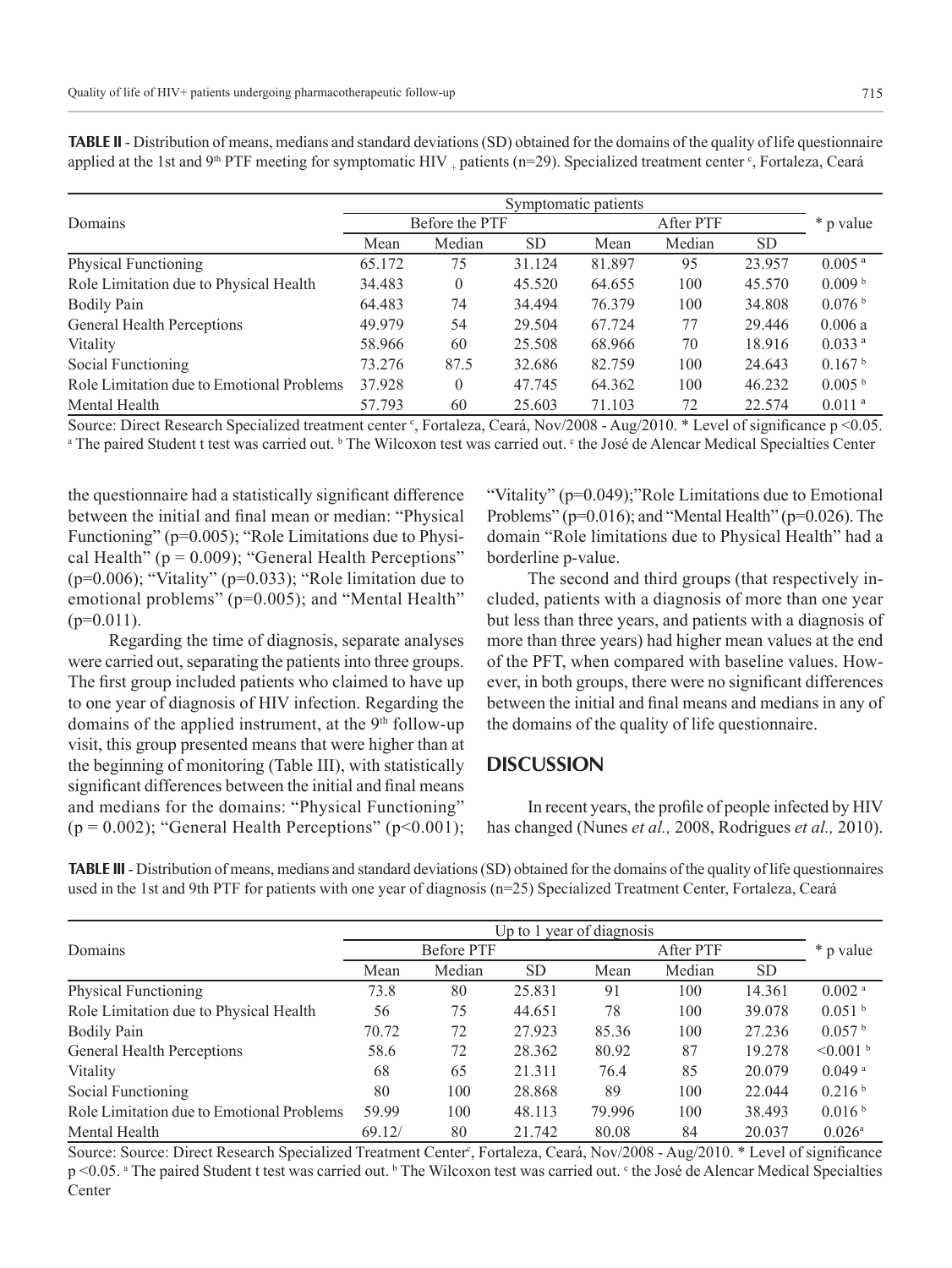|                                           | Symptomatic patients |          |           |        |        |           |                    |
|-------------------------------------------|----------------------|----------|-----------|--------|--------|-----------|--------------------|
| Domains                                   | Before the PTF       |          | After PTF |        |        | * p value |                    |
|                                           | Mean                 | Median   | <b>SD</b> | Mean   | Median | <b>SD</b> |                    |
| <b>Physical Functioning</b>               | 65.172               | 75       | 31.124    | 81.897 | 95     | 23.957    | 0.005 <sup>a</sup> |
| Role Limitation due to Physical Health    | 34.483               | $\theta$ | 45.520    | 64.655 | 100    | 45.570    | 0.009 <sup>b</sup> |
| <b>Bodily Pain</b>                        | 64.483               | 74       | 34.494    | 76.379 | 100    | 34.808    | 0.076 <sup>b</sup> |
| <b>General Health Perceptions</b>         | 49.979               | 54       | 29.504    | 67.724 | 77     | 29.446    | 0.006a             |
| Vitality                                  | 58.966               | 60       | 25.508    | 68.966 | 70     | 18.916    | 0.033 <sup>a</sup> |
| <b>Social Functioning</b>                 | 73.276               | 87.5     | 32.686    | 82.759 | 100    | 24.643    | 0.167 <sup>b</sup> |
| Role Limitation due to Emotional Problems | 37.928               | $\theta$ | 47.745    | 64.362 | 100    | 46.232    | 0.005 <sup>b</sup> |
| Mental Health                             | 57.793               | 60       | 25.603    | 71.103 | 72     | 22.574    | 0.011 <sup>a</sup> |

**TABLE II** - Distribution of means, medians and standard deviations (SD) obtained for the domains of the quality of life questionnaire applied at the 1st and 9<sup>th</sup> PTF meeting for symptomatic HIV <sub>+</sub> patients (n=29). Specialized treatment center <sup>c</sup>, Fortaleza, Ceará

Source: Direct Research Specialized treatment center <sup>c</sup>, Fortaleza, Ceará, Nov/2008 - Aug/2010. \* Level of significance p <0.05. <sup>a</sup> The paired Student t test was carried out. <sup>b</sup> The Wilcoxon test was carried out. <sup>c</sup> the José de Alencar Medical Specialties Center

the questionnaire had a statistically significant difference between the initial and final mean or median: "Physical Functioning" (p=0.005); "Role Limitations due to Physical Health" ( $p = 0.009$ ); "General Health Perceptions" ( $p=0.006$ ); "Vitality" ( $p=0.033$ ); "Role limitation due to emotional problems" (p=0.005); and "Mental Health"  $(p=0.011)$ .

Regarding the time of diagnosis, separate analyses were carried out, separating the patients into three groups. The first group included patients who claimed to have up to one year of diagnosis of HIV infection. Regarding the domains of the applied instrument, at the 9<sup>th</sup> follow-up visit, this group presented means that were higher than at the beginning of monitoring (Table III), with statistically significant differences between the initial and final means and medians for the domains: "Physical Functioning" ( $p = 0.002$ ); "General Health Perceptions" ( $p < 0.001$ ); "Vitality" (p=0.049);"Role Limitations due to Emotional Problems" ( $p=0.016$ ); and "Mental Health" ( $p=0.026$ ). The domain "Role limitations due to Physical Health" had a borderline p-value.

The second and third groups (that respectively included, patients with a diagnosis of more than one year but less than three years, and patients with a diagnosis of more than three years) had higher mean values at the end of the PFT, when compared with baseline values. However, in both groups, there were no significant differences between the initial and final means and medians in any of the domains of the quality of life questionnaire.

#### **DISCUSSION**

In recent years, the profile of people infected by HIV has changed (Nunes *et al.,* 2008, Rodrigues *et al.,* 2010).

**TABLE III** - Distribution of means, medians and standard deviations (SD) obtained for the domains of the quality of life questionnaires used in the 1st and 9th PTF for patients with one year of diagnosis (n=25) Specialized Treatment Center, Fortaleza, Ceará

|                                           | Up to 1 year of diagnosis |        |           |           |        |           |                      |
|-------------------------------------------|---------------------------|--------|-----------|-----------|--------|-----------|----------------------|
| Domains                                   | <b>Before PTF</b>         |        |           | After PTF |        |           | * p value            |
|                                           | Mean                      | Median | <b>SD</b> | Mean      | Median | <b>SD</b> |                      |
| <b>Physical Functioning</b>               | 73.8                      | 80     | 25.831    | 91        | 100    | 14.361    | $0.002$ <sup>a</sup> |
| Role Limitation due to Physical Health    | 56                        | 75     | 44.651    | 78        | 100    | 39.078    | 0.051 <sup>b</sup>   |
| <b>Bodily Pain</b>                        | 70.72                     | 72     | 27.923    | 85.36     | 100    | 27.236    | 0.057 <sup>b</sup>   |
| General Health Perceptions                | 58.6                      | 72     | 28.362    | 80.92     | 87     | 19.278    | $< 0.001$ b          |
| Vitality                                  | 68                        | 65     | 21.311    | 76.4      | 85     | 20.079    | $0.049$ <sup>a</sup> |
| Social Functioning                        | 80                        | 100    | 28.868    | 89        | 100    | 22.044    | 0.216 <sup>b</sup>   |
| Role Limitation due to Emotional Problems | 59.99                     | 100    | 48.113    | 79.996    | 100    | 38.493    | 0.016 <sup>b</sup>   |
| Mental Health                             | 69.12/                    | 80     | 21.742    | 80.08     | 84     | 20.037    | $0.026$ <sup>a</sup> |

Source: Source: Direct Research Specialized Treatment Center<sup>c</sup>, Fortaleza, Ceará, Nov/2008 - Aug/2010. \* Level of significance p <0.05. A The paired Student t test was carried out. <sup>b</sup> The Wilcoxon test was carried out. C the José de Alencar Medical Specialties Center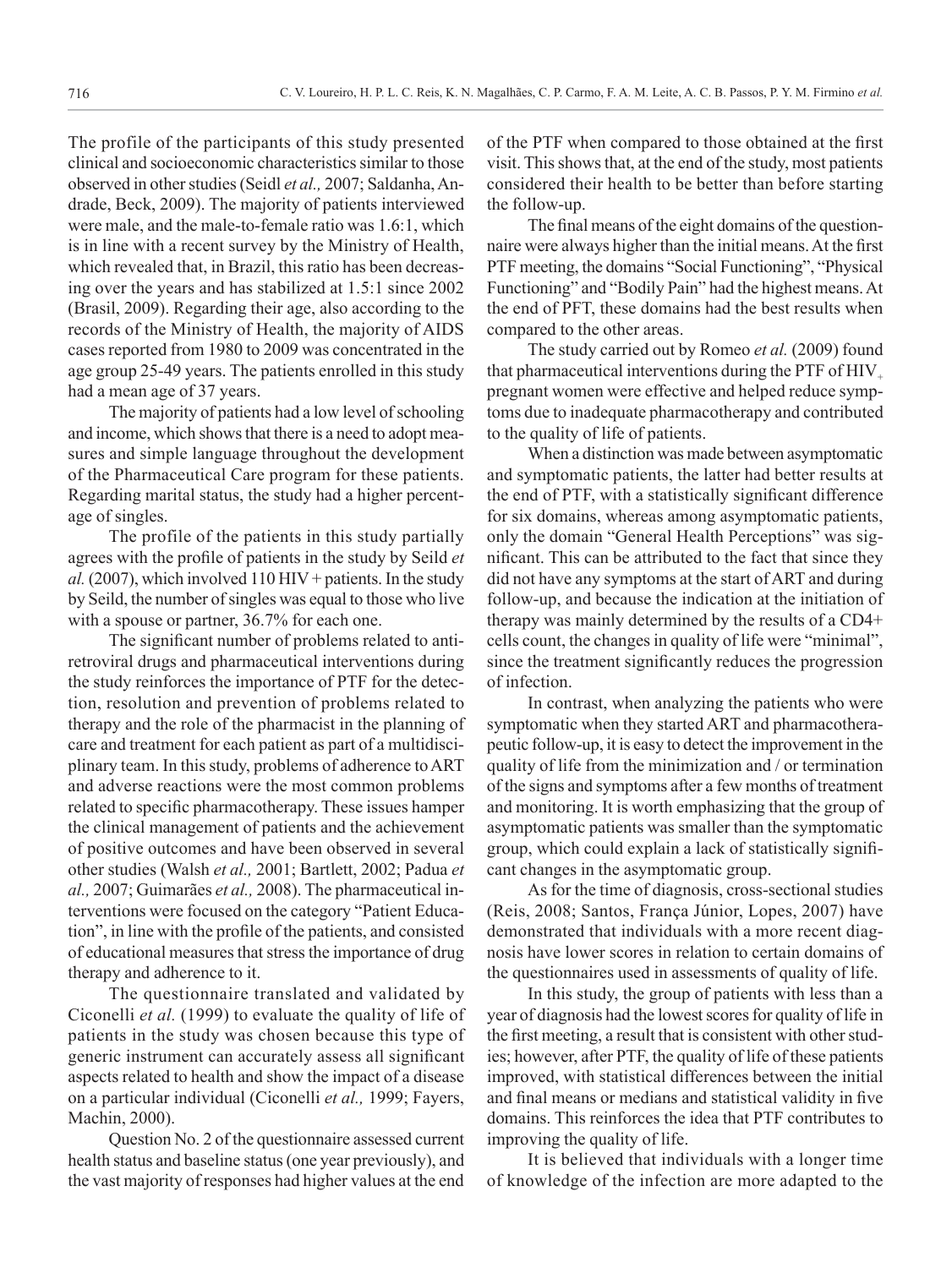The profile of the participants of this study presented clinical and socioeconomic characteristics similar to those observed in other studies (Seidl *et al.,* 2007; Saldanha, Andrade, Beck, 2009). The majority of patients interviewed were male, and the male-to-female ratio was 1.6:1, which is in line with a recent survey by the Ministry of Health, which revealed that, in Brazil, this ratio has been decreasing over the years and has stabilized at 1.5:1 since 2002 (Brasil, 2009). Regarding their age, also according to the records of the Ministry of Health, the majority of AIDS cases reported from 1980 to 2009 was concentrated in the age group 25-49 years. The patients enrolled in this study had a mean age of 37 years.

The majority of patients had a low level of schooling and income, which shows that there is a need to adopt measures and simple language throughout the development of the Pharmaceutical Care program for these patients. Regarding marital status, the study had a higher percentage of singles.

The profile of the patients in this study partially agrees with the profile of patients in the study by Seild *et al.* (2007), which involved 110 HIV + patients. In the study by Seild, the number of singles was equal to those who live with a spouse or partner, 36.7% for each one.

The significant number of problems related to antiretroviral drugs and pharmaceutical interventions during the study reinforces the importance of PTF for the detection, resolution and prevention of problems related to therapy and the role of the pharmacist in the planning of care and treatment for each patient as part of a multidisciplinary team. In this study, problems of adherence to ART and adverse reactions were the most common problems related to specific pharmacotherapy. These issues hamper the clinical management of patients and the achievement of positive outcomes and have been observed in several other studies (Walsh *et al.,* 2001; Bartlett, 2002; Padua *et al.,* 2007; Guimarães *et al.,* 2008). The pharmaceutical interventions were focused on the category "Patient Education", in line with the profile of the patients, and consisted of educational measures that stress the importance of drug therapy and adherence to it.

The questionnaire translated and validated by Ciconelli *et al.* (1999) to evaluate the quality of life of patients in the study was chosen because this type of generic instrument can accurately assess all significant aspects related to health and show the impact of a disease on a particular individual (Ciconelli *et al.,* 1999; Fayers, Machin, 2000).

Question No. 2 of the questionnaire assessed current health status and baseline status (one year previously), and the vast majority of responses had higher values at the end of the PTF when compared to those obtained at the first visit. This shows that, at the end of the study, most patients considered their health to be better than before starting the follow-up.

The final means of the eight domains of the questionnaire were always higher than the initial means. At the first PTF meeting, the domains "Social Functioning", "Physical Functioning" and "Bodily Pain" had the highest means. At the end of PFT, these domains had the best results when compared to the other areas.

The study carried out by Romeo *et al.* (2009) found that pharmaceutical interventions during the PTF of  $HIV_{+}$ pregnant women were effective and helped reduce symptoms due to inadequate pharmacotherapy and contributed to the quality of life of patients.

When a distinction was made between asymptomatic and symptomatic patients, the latter had better results at the end of PTF, with a statistically significant difference for six domains, whereas among asymptomatic patients, only the domain "General Health Perceptions" was significant. This can be attributed to the fact that since they did not have any symptoms at the start of ART and during follow-up, and because the indication at the initiation of therapy was mainly determined by the results of a CD4+ cells count, the changes in quality of life were "minimal", since the treatment significantly reduces the progression of infection.

In contrast, when analyzing the patients who were symptomatic when they started ART and pharmacotherapeutic follow-up, it is easy to detect the improvement in the quality of life from the minimization and / or termination of the signs and symptoms after a few months of treatment and monitoring. It is worth emphasizing that the group of asymptomatic patients was smaller than the symptomatic group, which could explain a lack of statistically significant changes in the asymptomatic group.

As for the time of diagnosis, cross-sectional studies (Reis, 2008; Santos, França Júnior, Lopes, 2007) have demonstrated that individuals with a more recent diagnosis have lower scores in relation to certain domains of the questionnaires used in assessments of quality of life.

In this study, the group of patients with less than a year of diagnosis had the lowest scores for quality of life in the first meeting, a result that is consistent with other studies; however, after PTF, the quality of life of these patients improved, with statistical differences between the initial and final means or medians and statistical validity in five domains. This reinforces the idea that PTF contributes to improving the quality of life.

It is believed that individuals with a longer time of knowledge of the infection are more adapted to the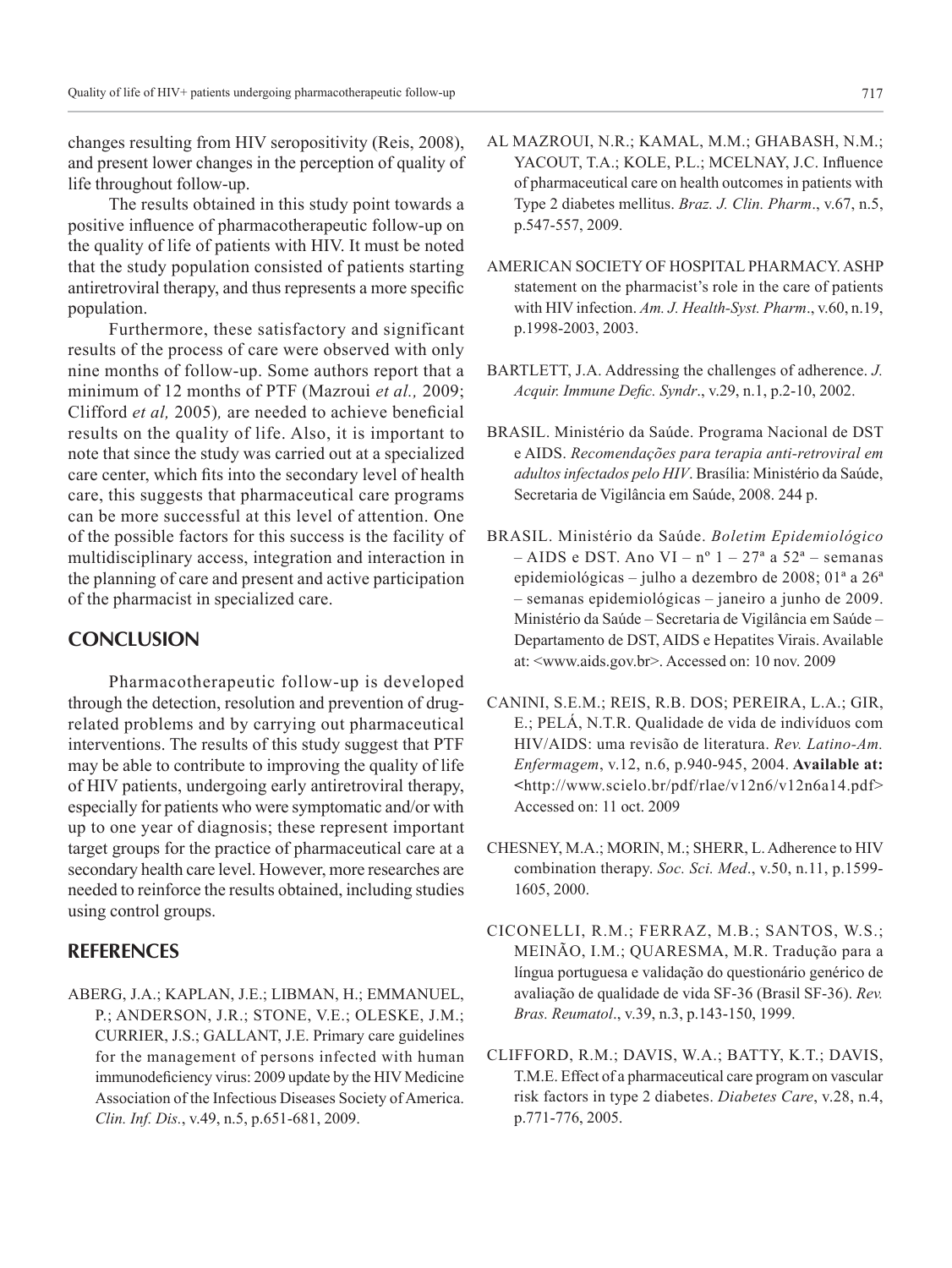changes resulting from HIV seropositivity (Reis, 2008), and present lower changes in the perception of quality of life throughout follow-up.

The results obtained in this study point towards a positive influence of pharmacotherapeutic follow-up on the quality of life of patients with HIV. It must be noted that the study population consisted of patients starting antiretroviral therapy, and thus represents a more specific population.

Furthermore, these satisfactory and significant results of the process of care were observed with only nine months of follow-up. Some authors report that a minimum of 12 months of PTF (Mazroui *et al.,* 2009; Clifford *et al,* 2005)*,* are needed to achieve beneficial results on the quality of life. Also, it is important to note that since the study was carried out at a specialized care center, which fits into the secondary level of health care, this suggests that pharmaceutical care programs can be more successful at this level of attention. One of the possible factors for this success is the facility of multidisciplinary access, integration and interaction in the planning of care and present and active participation of the pharmacist in specialized care.

### **CONCLUSION**

Pharmacotherapeutic follow-up is developed through the detection, resolution and prevention of drugrelated problems and by carrying out pharmaceutical interventions. The results of this study suggest that PTF may be able to contribute to improving the quality of life of HIV patients, undergoing early antiretroviral therapy, especially for patients who were symptomatic and/or with up to one year of diagnosis; these represent important target groups for the practice of pharmaceutical care at a secondary health care level. However, more researches are needed to reinforce the results obtained, including studies using control groups.

#### **REFERENCES**

ABERG, J.A.; KAPLAN, J.E.; LIBMAN, H.; EMMANUEL, P.; ANDERSON, J.R.; STONE, V.E.; OLESKE, J.M.; CURRIER, J.S.; GALLANT, J.E. Primary care guidelines for the management of persons infected with human immunodeficiency virus: 2009 update by the HIV Medicine Association of the Infectious Diseases Society of America. *Clin. Inf. Dis.*, v.49, n.5, p.651-681, 2009.

- AL MAZROUI, N.R.; KAMAL, M.M.; GHABASH, N.M.; YACOUT, T.A.; KOLE, P.L.; MCELNAY, J.C. Influence of pharmaceutical care on health outcomes in patients with Type 2 diabetes mellitus. *Braz. J. Clin. Pharm*., v.67, n.5, p.547-557, 2009.
- AMERICAN SOCIETY OF HOSPITAL PHARMACY. ASHP statement on the pharmacist's role in the care of patients with HIV infection. *Am. J. Health-Syst. Pharm*., v.60, n.19, p.1998-2003, 2003.
- BARTLETT, J.A. Addressing the challenges of adherence. *J. Acquir. Immune Defic. Syndr*., v.29, n.1, p.2-10, 2002.
- BRASIL. Ministério da Saúde. Programa Nacional de DST e AIDS. *Recomendações para terapia anti-retroviral em adultos infectados pelo HIV*. Brasília: Ministério da Saúde, Secretaria de Vigilância em Saúde, 2008. 244 p.
- BRASIL. Ministério da Saúde. *Boletim Epidemiológico* – AIDS e DST. Ano VI –  $n^{\circ}$  1 –  $27^{\circ}$  a  $52^{\circ}$  – semanas epidemiológicas – julho a dezembro de 2008; 01ª a 26ª – semanas epidemiológicas – janeiro a junho de 2009. Ministério da Saúde – Secretaria de Vigilância em Saúde – Departamento de DST, AIDS e Hepatites Virais. Available at: <www.aids.gov.br>. Accessed on: 10 nov. 2009
- CANINI, S.E.M.; REIS, R.B. DOS; PEREIRA, L.A.; GIR, E.; PELÁ, N.T.R. Qualidade de vida de indivíduos com HIV/AIDS: uma revisão de literatura. *Rev. Latino-Am. Enfermagem*, v.12, n.6, p.940-945, 2004. **Available at: <**http://www.scielo.br/pdf/rlae/v12n6/v12n6a14.pdf> Accessed on: 11 oct. 2009
- CHESNEY, M.A.; MORIN, M.; SHERR, L. Adherence to HIV combination therapy. *Soc. Sci. Med*., v.50, n.11, p.1599- 1605, 2000.
- CICONELLI, R.M.; FERRAZ, M.B.; SANTOS, W.S.; MEINÃO, I.M.; QUARESMA, M.R. Tradução para a língua portuguesa e validação do questionário genérico de avaliação de qualidade de vida SF-36 (Brasil SF-36). *Rev. Bras. Reumatol*., v.39, n.3, p.143-150, 1999.
- CLIFFORD, R.M.; DAVIS, W.A.; BATTY, K.T.; DAVIS, T.M.E. Effect of a pharmaceutical care program on vascular risk factors in type 2 diabetes. *Diabetes Care*, v.28, n.4, p.771-776, 2005.